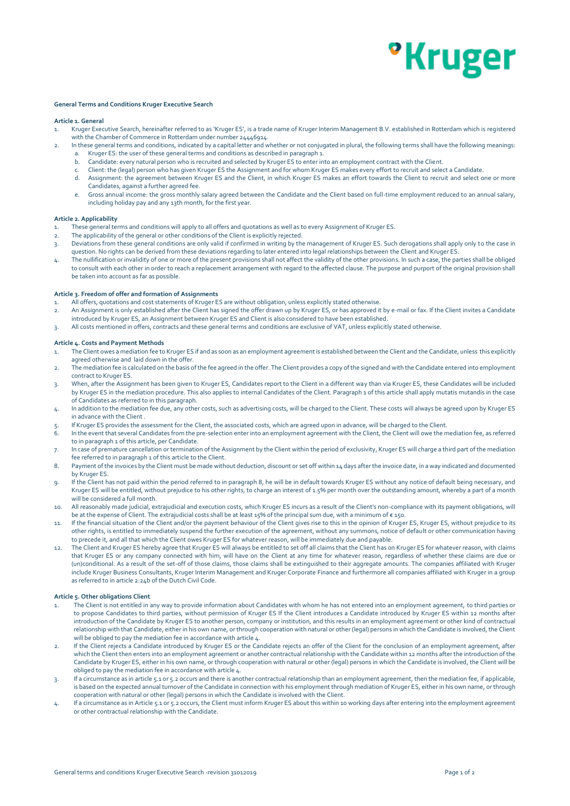## *•***Kruger**

## **General Terms and Conditions Kruger Executive Search**

## **Article 1. General**

- 1. Kruger Executive Search, hereinafter referred to as 'Kruger ES', is a trade name of Kruger Interim Management B.V. established in Rotterdam which is registered with the Chamber of Commerce in Rotterdam under number 24446914.
- 2. In these general terms and conditions, indicated by a capital letter and whether or not conjugated in plural, the following terms shall have the following meanings: a. Kruger ES: the user of these general terms and conditions as described in paragraph 1.
	- b. Candidate: every natural person who is recruited and selected by Kruger ES to enter into an employment contract with the Client.
	- Client: the (legal) person who has given Kruger ES the Assignment and for whom Kruger ES makes every effort to recruit and select a Candidate.
	- d. Assignment: the agreement between Kruger ES and the Client, in which Kruger ES makes an effort towards the Client to recruit and select one or more Candidates, against a further agreed fee.
	- e. Gross annual income: the gross monthly salary agreed between the Candidate and the Client based on full-time employment reduced to an annual salary, including holiday pay and any 13th month, for the first year.

### **Article 2. Applicability**

- 1. These general terms and conditions will apply to all offers and quotations as well as to every Assignment of Kruger ES.
- 2. The applicability of the general or other conditions of the Client is explicitly rejected.
- 3. Deviations from these general conditions are only valid if confirmed in writing by the management of Kruger ES. Such derogations shall apply only to the case in question. No rights can be derived from these deviations regarding to later entered into legal relationships between the Client and Kruger ES.
- 4. The nullification or invalidity of one or more of the present provisions shall not affect the validity of the other provisions. In such a case, the parties shall be obliged to consult with each other in order to reach a replacement arrangement with regard to the affected clause. The purpose and purport of the original provision shall be taken into account as far as possible.

### **Article 3. Freedom of offer and formation of Assignments**

- 1. All offers, quotations and cost statements of Kruger ES are without obligation, unless explicitly stated otherwise.
- 2. An Assignment is only established after the Client has signed the offer drawn up by Kruger ES, or has approved it by e-mail or fax. If the Client invites a Candidate introduced by Kruger ES, an Assignment between Kruger ES and Client is also considered to have been established.
- 3. All costs mentioned in offers, contracts and these general terms and conditions are exclusive of VAT, unless explicitly stated otherwise.

### **Article 4. Costs and Payment Methods**

- The Client owes a mediation fee to Kruger ES if and as soon as an employment agreement is established between the Client and the Candidate, unless this explicitly agreed otherwise and laid down in the offer.
- 2. The mediation fee is calculated on the basis of the fee agreed in the offer. The Client provides a copy of the signed and with the Candidate entered into employment contract to Kruger ES.
- 3. When, after the Assignment has been given to Kruger ES, Candidates report to the Client in a different way than via Kruger ES, these Candidates will be included by Kruger ES in the mediation procedure. This also applies to internal Candidates of the Client. Paragraph 1 of this article shall apply mutatis mutandis in the case of Candidates as referred to in this paragraph.
- 4. In addition to the mediation fee due, any other costs, such as advertising costs, will be charged to the Client. These costs will always be agreed upon by Kruger ES in advance with the Client .
- 5. If Kruger ES provides the assessment for the Client, the associated costs, which are agreed upon in advance, will be charged to the Client.
- 6. In the event that several Candidates from the pre-selection enter into an employment agreement with the Client, the Client will owe the mediation fee, as referred to in paragraph 1 of this article, per Candidate.
- 7. In case of premature cancellation or termination of the Assignment by the Client within the period of exclusivity, Kruger ES will charge a third part of the mediation fee referred to in paragraph 1 of this article to the Client.
- 8. Payment of the invoices by the Client must be made without deduction, discount or set off within 14 days after the invoice date, in a way indicated and documented by Kruger ES.
- 9. If the Client has not paid within the period referred to in paragraph 8, he will be in default towards Kruger ES without any notice of default being necessary, and Kruger ES will be entitled, without prejudice to his other rights, to charge an interest of 1.5% per month over the outstanding amount, whereby a part of a month will be considered a full month.
- 10. All reasonably made judicial, extrajudicial and execution costs, which Kruger ES incurs as a result of the Client's non-compliance with its payment obligations, will be at the expense of Client. The extrajudicial costs shall be at least 15% of the principal sum due, with a minimum of € 150.
- 11. If the financial situation of the Client and/or the payment behaviour of the Client gives rise to this in the opinion of Kruger ES, Kruger ES, without prejudice to its other rights, is entitled to immediately suspend the further execution of the agreement, without any summons, notice of default or other communication having to precede it, and all that which the Client owes Kruger ES for whatever reason, will be immediately due and payable.
- 12. The Client and Kruger ES hereby agree that Kruger ES will always be entitled to set off all claims that the Client has on Kruger ES for whatever reason, with claims that Kruger ES or any company connected with him, will have on the Client at any time for whatever reason, regardless of whether these claims are due or (un)conditional. As a result of the set-off of those claims, those claims shall be extinguished to their aggregate amounts. The companies affiliated with Kruger include Kruger Business Consultants, Kruger Interim Management and Kruger Corporate Finance and furthermore all companies affiliated with Kruger in a group as referred to in article 2:24b of the Dutch Civil Code.

#### **Article 5. Other obligations Client**

- The Client is not entitled in any way to provide information about Candidates with whom he has not entered into an employment agreement, to third parties or to propose Candidates to third parties, without permission of Kruger ES If the Client introduces a Candidate introduced by Kruger ES within 12 months after introduction of the Candidate by Kruger ES to another person, company or institution, and this results in an employment agreement or other kind of contractual relationship with that Candidate, either in his own name, or through cooperation with natural or other (legal) persons in which the Candidate is involved, the Client will be obliged to pay the mediation fee in accordance with article 4.
- 2. If the Client rejects a Candidate introduced by Kruger ES or the Candidate rejects an offer of the Client for the conclusion of an employment agreement, after which the Client then enters into an employment agreement or another contractual relationship with the Candidate within 12 months after the introduction of the Candidate by Kruger ES, either in his own name, or through cooperation with natural or other (legal) persons in which the Candidate is involved, the Client will be obliged to pay the mediation fee in accordance with article 4.
- 3. If a circumstance as in article 5.1 or 5.2 occurs and there is another contractual relationship than an employment agreement, then the mediation fee, if applicable, is based on the expected annual turnover of the Candidate in connection with his employment through mediation of Kruger ES, either in his own name, or through cooperation with natural or other (legal) persons in which the Candidate is involved with the Client.
- 4. If a circumstance as in Article 5.1 or 5.2 occurs, the Client must inform Kruger ES about this within 10 working days after entering into the employment agreement or other contractual relationship with the Candidate.